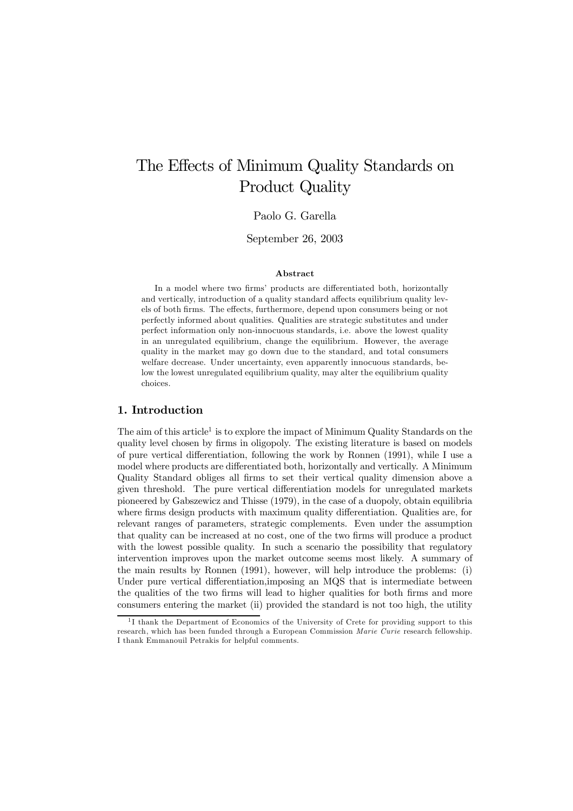# The Effects of Minimum Quality Standards on Product Quality

# Paolo G. Garella

September 26, 2003

## Abstract

In a model where two firms' products are differentiated both, horizontally and vertically, introduction of a quality standard affects equilibrium quality levels of both firms. The effects, furthermore, depend upon consumers being or not perfectly informed about qualities. Qualities are strategic substitutes and under perfect information only non-innocuous standards, i.e. above the lowest quality in an unregulated equilibrium, change the equilibrium. However, the average quality in the market may go down due to the standard, and total consumers welfare decrease. Under uncertainty, even apparently innocuous standards, below the lowest unregulated equilibrium quality, may alter the equilibrium quality choices.

# 1. Introduction

The aim of this article<sup>1</sup> is to explore the impact of Minimum Quality Standards on the quality level chosen by firms in oligopoly. The existing literature is based on models of pure vertical differentiation, following the work by Ronnen (1991), while I use a model where products are differentiated both, horizontally and vertically. A Minimum Quality Standard obliges all firms to set their vertical quality dimension above a given threshold. The pure vertical differentiation models for unregulated markets pioneered by Gabszewicz and Thisse (1979), in the case of a duopoly, obtain equilibria where firms design products with maximum quality differentiation. Qualities are, for relevant ranges of parameters, strategic complements. Even under the assumption that quality can be increased at no cost, one of the two firms will produce a product with the lowest possible quality. In such a scenario the possibility that regulatory intervention improves upon the market outcome seems most likely. A summary of the main results by Ronnen (1991), however, will help introduce the problems: (i) Under pure vertical differentiation, imposing an MQS that is intermediate between the qualities of the two firms will lead to higher qualities for both firms and more consumers entering the market (ii) provided the standard is not too high, the utility

 $1<sup>1</sup>$  I thank the Department of Economics of the University of Crete for providing support to this research, which has been funded through a European Commission Marie Curie research fellowship. I thank Emmanouil Petrakis for helpful comments.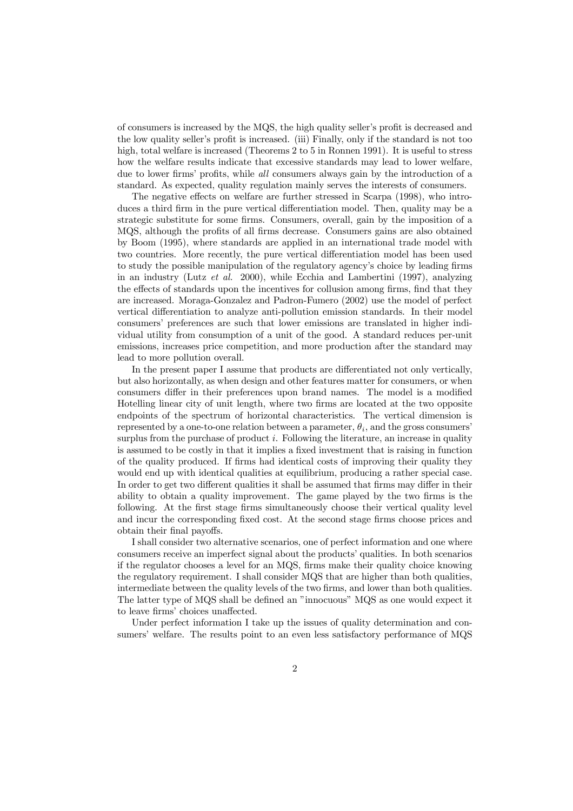of consumers is increased by the MQS, the high quality seller's profit is decreased and the low quality seller's profit is increased. (iii) Finally, only if the standard is not too high, total welfare is increased (Theorems 2 to 5 in Ronnen 1991). It is useful to stress how the welfare results indicate that excessive standards may lead to lower welfare, due to lower firms' profits, while  $all$  consumers always gain by the introduction of a standard. As expected, quality regulation mainly serves the interests of consumers.

The negative effects on welfare are further stressed in Scarpa (1998), who introduces a third firm in the pure vertical differentiation model. Then, quality may be a strategic substitute for some firms. Consumers, overall, gain by the imposition of a MQS, although the profits of all firms decrease. Consumers gains are also obtained by Boom (1995), where standards are applied in an international trade model with two countries. More recently, the pure vertical differentiation model has been used to study the possible manipulation of the regulatory agency's choice by leading firms in an industry (Lutz et al. 2000), while Ecchia and Lambertini (1997), analyzing the effects of standards upon the incentives for collusion among firms, find that they are increased. Moraga-Gonzalez and Padron-Fumero (2002) use the model of perfect vertical differentiation to analyze anti-pollution emission standards. In their model consumers' preferences are such that lower emissions are translated in higher individual utility from consumption of a unit of the good. A standard reduces per-unit emissions, increases price competition, and more production after the standard may lead to more pollution overall.

In the present paper I assume that products are differentiated not only vertically, but also horizontally, as when design and other features matter for consumers, or when consumers differ in their preferences upon brand names. The model is a modified Hotelling linear city of unit length, where two firms are located at the two opposite endpoints of the spectrum of horizontal characteristics. The vertical dimension is represented by a one-to-one relation between a parameter,  $\theta_i$ , and the gross consumers' surplus from the purchase of product  $i$ . Following the literature, an increase in quality is assumed to be costly in that it implies a fixed investment that is raising in function of the quality produced. If firms had identical costs of improving their quality they would end up with identical qualities at equilibrium, producing a rather special case. In order to get two different qualities it shall be assumed that firms may differ in their ability to obtain a quality improvement. The game played by the two firms is the following. At the first stage firms simultaneously choose their vertical quality level and incur the corresponding fixed cost. At the second stage firms choose prices and obtain their final payoffs.

I shall consider two alternative scenarios, one of perfect information and one where consumers receive an imperfect signal about the products' qualities. In both scenarios if the regulator chooses a level for an  $MQS$ , firms make their quality choice knowing the regulatory requirement. I shall consider MQS that are higher than both qualities, intermediate between the quality levels of the two firms, and lower than both qualities. The latter type of MQS shall be defined an "innocuous" MQS as one would expect it to leave firms' choices unaffected.

Under perfect information I take up the issues of quality determination and consumers' welfare. The results point to an even less satisfactory performance of MQS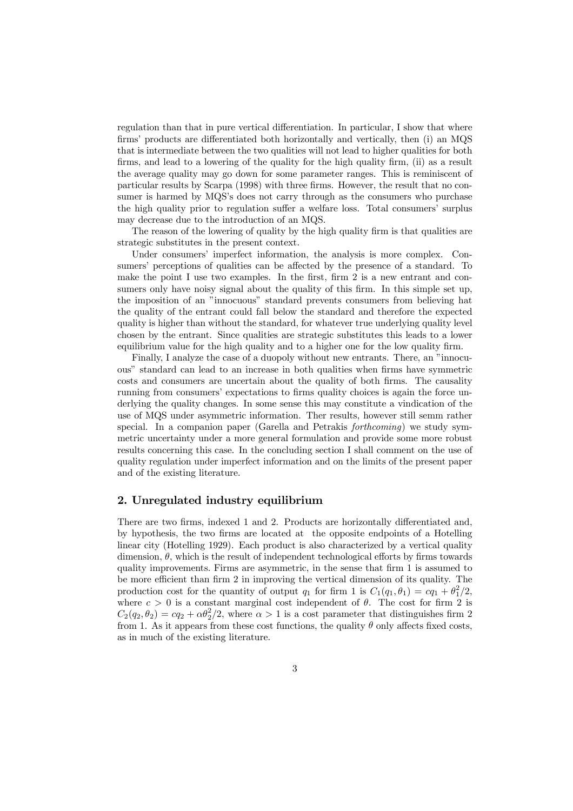regulation than that in pure vertical differentiation. In particular, I show that where firms' products are differentiated both horizontally and vertically, then  $(i)$  an  $MQS$ that is intermediate between the two qualities will not lead to higher qualities for both firms, and lead to a lowering of the quality for the high quality firm, (ii) as a result the average quality may go down for some parameter ranges. This is reminiscent of particular results by Scarpa (1998) with three firms. However, the result that no consumer is harmed by MQS's does not carry through as the consumers who purchase the high quality prior to regulation suffer a welfare loss. Total consumers' surplus may decrease due to the introduction of an MQS.

The reason of the lowering of quality by the high quality firm is that qualities are strategic substitutes in the present context.

Under consumers' imperfect information, the analysis is more complex. Consumers' perceptions of qualities can be affected by the presence of a standard. To make the point I use two examples. In the first,  $\lim 2$  is a new entrant and consumers only have noisy signal about the quality of this firm. In this simple set up, the imposition of an "innocuous" standard prevents consumers from believing hat the quality of the entrant could fall below the standard and therefore the expected quality is higher than without the standard, for whatever true underlying quality level chosen by the entrant. Since qualities are strategic substitutes this leads to a lower equilibrium value for the high quality and to a higher one for the low quality firm.

Finally, I analyze the case of a duopoly without new entrants. There, an "innocuous" standard can lead to an increase in both qualities when firms have symmetric costs and consumers are uncertain about the quality of both firms. The causality running from consumers' expectations to firms quality choices is again the force underlying the quality changes. In some sense this may constitute a vindication of the use of MQS under asymmetric information. Ther results, however still semm rather special. In a companion paper (Garella and Petrakis forthcoming) we study symmetric uncertainty under a more general formulation and provide some more robust results concerning this case. In the concluding section I shall comment on the use of quality regulation under imperfect information and on the limits of the present paper and of the existing literature.

# 2. Unregulated industry equilibrium

There are two firms, indexed 1 and 2. Products are horizontally differentiated and, by hypothesis, the two firms are located at the opposite endpoints of a Hotelling linear city (Hotelling 1929). Each product is also characterized by a vertical quality dimension,  $\theta$ , which is the result of independent technological efforts by firms towards quality improvements. Firms are asymmetric, in the sense that firm  $1$  is assumed to be more efficient than firm 2 in improving the vertical dimension of its quality. The production cost for the quantity of output  $q_1$  for firm 1 is  $C_1(q_1, \theta_1) = cq_1 + \theta_1^2/2$ , where  $c > 0$  is a constant marginal cost independent of  $\theta$ . The cost for firm 2 is  $C_2(q_2, \theta_2) = cq_2 + \alpha \theta_2^2/2$ , where  $\alpha > 1$  is a cost parameter that distinguishes firm 2 from 1. As it appears from these cost functions, the quality  $\theta$  only affects fixed costs, as in much of the existing literature.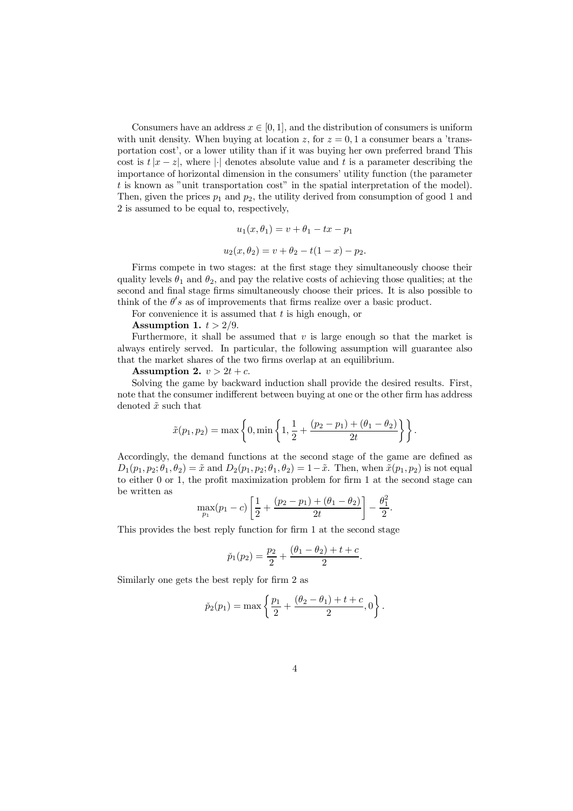Consumers have an address  $x \in [0, 1]$ , and the distribution of consumers is uniform with unit density. When buying at location z, for  $z = 0, 1$  a consumer bears a 'transportation cost', or a lower utility than if it was buying her own preferred brand This cost is  $t|x - z|$ , where || denotes absolute value and t is a parameter describing the importance of horizontal dimension in the consumers' utility function (the parameter t is known as "unit transportation cost" in the spatial interpretation of the model). Then, given the prices  $p_1$  and  $p_2$ , the utility derived from consumption of good 1 and 2 is assumed to be equal to, respectively,

$$
u_1(x, \theta_1) = v + \theta_1 - tx - p_1
$$
  

$$
u_2(x, \theta_2) = v + \theta_2 - t(1 - x) - p_2.
$$

Firms compete in two stages: at the first stage they simultaneously choose their quality levels  $\theta_1$  and  $\theta_2$ , and pay the relative costs of achieving those qualities; at the second and final stage firms simultaneously choose their prices. It is also possible to think of the  $\theta's$  as of improvements that firms realize over a basic product.

For convenience it is assumed that  $t$  is high enough, or

Assumption 1.  $t > 2/9$ .

Furthermore, it shall be assumed that  $v$  is large enough so that the market is always entirely served. In particular, the following assumption will guarantee also that the market shares of the two firms overlap at an equilibrium.

Assumption 2.  $v > 2t + c$ .

Solving the game by backward induction shall provide the desired results. First, note that the consumer indifferent between buying at one or the other firm has address denoted  $\tilde{x}$  such that

$$
\tilde{x}(p_1, p_2) = \max \left\{ 0, \min \left\{ 1, \frac{1}{2} + \frac{(p_2 - p_1) + (\theta_1 - \theta_2)}{2t} \right\} \right\}.
$$

Accordingly, the demand functions at the second stage of the game are defined as  $D_1(p_1, p_2; \theta_1, \theta_2) = \tilde{x}$  and  $D_2(p_1, p_2; \theta_1, \theta_2) = 1 - \tilde{x}$ . Then, when  $\tilde{x}(p_1, p_2)$  is not equal to either  $0$  or  $1$ , the profit maximization problem for firm  $1$  at the second stage can be written as

$$
\max_{p_1}(p_1-c)\left[\frac{1}{2}+\frac{(p_2-p_1)+(\theta_1-\theta_2)}{2t}\right]-\frac{\theta_1^2}{2}.
$$

This provides the best reply function for firm  $1$  at the second stage

$$
\tilde{p}_1(p_2) = \frac{p_2}{2} + \frac{(\theta_1 - \theta_2) + t + c}{2}.
$$

Similarly one gets the best reply for firm 2 as

$$
\tilde{p}_2(p_1) = \max \left\{ \frac{p_1}{2} + \frac{(\theta_2 - \theta_1) + t + c}{2}, 0 \right\}.
$$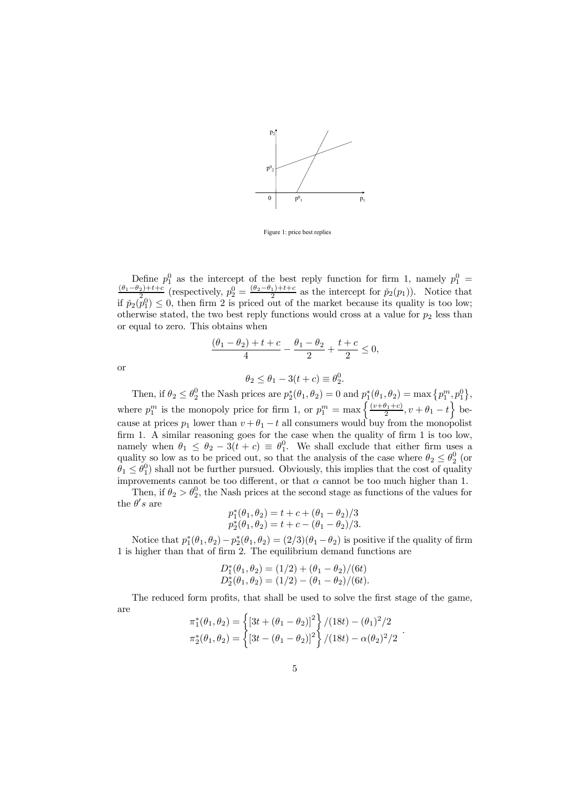

Figure 1: price best replies

Define  $p_1^0$  as the intercept of the best reply function for firm 1, namely  $p_1^0 = \frac{(\theta_1 - \theta_2) + t + c}{2}$  (respectively,  $p_2^0 = \frac{(\theta_2 - \theta_1) + t + c}{2}$  as the intercept for  $\tilde{p}_2(p_1)$ ). Notice that if  $\tilde{p}_2(p_1^0) \leq 0$ , then firm 2 is priced out of the market because its quality is too low; otherwise stated, the two best reply functions would cross at a value for  $p_2$  less than or equal to zero. This obtains when

$$
\frac{(\theta_1 - \theta_2) + t + c}{4} - \frac{\theta_1 - \theta_2}{2} + \frac{t + c}{2} \le 0,
$$

or

$$
\theta_2 \le \theta_1 - 3(t + c) \equiv \theta_2^0.
$$

Then, if  $\theta_2 \leq \theta_2^0$  the Nash prices are  $p_2^*(\theta_1, \theta_2) = 0$  and  $p_1^*(\theta_1, \theta_2) = \max\{p_1^m, p_1^0\}$ , where  $p_1^m$  is the monopoly price for firm 1, or  $p_1^m = \max\left\{\frac{(v+\theta_1+c)}{2}, v+\theta_1-t\right\}$  because at prices  $p_1$  lower than  $v + \theta_1 - t$  all consumers would buy from the monopolist firm 1. A similar reasoning goes for the case when the quality of firm 1 is too low, namely when  $\theta_1 \leq \theta_2 - 3(t + c) \equiv \theta_1^0$ . We shall exclude that either firm uses a quality so low as to be priced out, so that the analysis of the case where  $\theta_2 \leq \theta_2^0$  (or  $\theta_1 \leq \theta_1^0$ ) shall not be further pursued. Obviously, this implies that the cost of quality improvements cannot be too different, or that  $\alpha$  cannot be too much higher than 1.

Then, if  $\theta_2 > \theta_2^0$ , the Nash prices at the second stage as functions of the values for the  $\theta's$  are

$$
p_1^*(\theta_1, \theta_2) = t + c + (\theta_1 - \theta_2)/3
$$
  
\n
$$
p_2^*(\theta_1, \theta_2) = t + c - (\theta_1 - \theta_2)/3.
$$

Notice that  $p_1^*(\theta_1, \theta_2) - p_2^*(\theta_1, \theta_2) = (2/3)(\theta_1 - \theta_2)$  is positive if the quality of firm 1 is higher than that of firm 2. The equilibrium demand functions are

$$
D_1^*(\theta_1, \theta_2) = (1/2) + (\theta_1 - \theta_2)/(6t)
$$
  

$$
D_2^*(\theta_1, \theta_2) = (1/2) - (\theta_1 - \theta_2)/(6t).
$$

The reduced form profits, that shall be used to solve the first stage of the game, are

$$
\pi_1^*(\theta_1, \theta_2) = \left\{ [3t + (\theta_1 - \theta_2)]^2 \right\} / (18t) - (\theta_1)^2 / 2
$$
  

$$
\pi_2^*(\theta_1, \theta_2) = \left\{ [3t - (\theta_1 - \theta_2)]^2 \right\} / (18t) - \alpha(\theta_2)^2 / 2
$$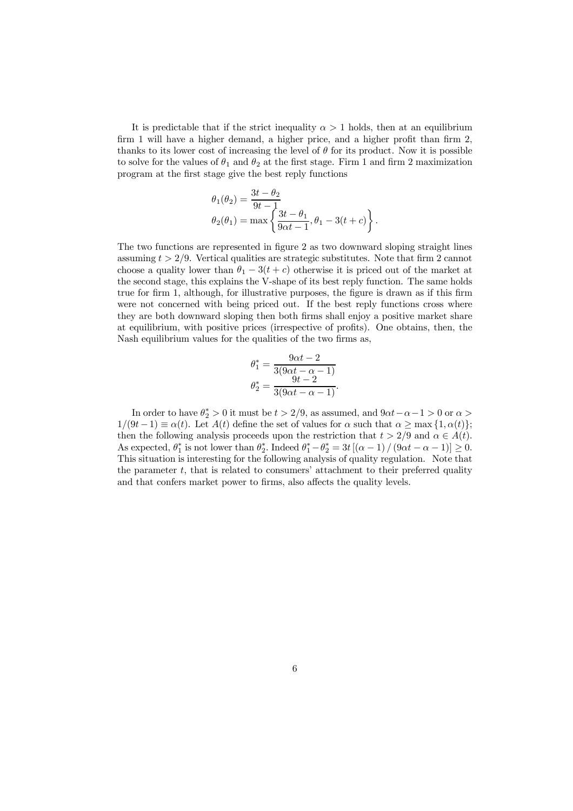It is predictable that if the strict inequality  $\alpha > 1$  holds, then at an equilibrium firm 1 will have a higher demand, a higher price, and a higher profit than firm  $2$ , thanks to its lower cost of increasing the level of  $\theta$  for its product. Now it is possible to solve for the values of  $\theta_1$  and  $\theta_2$  at the first stage. Firm 1 and firm 2 maximization program at the first stage give the best reply functions

$$
\theta_1(\theta_2) = \frac{3t - \theta_2}{9t - 1}
$$
  
\n
$$
\theta_2(\theta_1) = \max \left\{ \frac{3t - \theta_1}{9\alpha t - 1}, \theta_1 - 3(t + c) \right\}.
$$

The two functions are represented in figure 2 as two downward sloping straight lines assuming  $t > 2/9$ . Vertical qualities are strategic substitutes. Note that firm 2 cannot choose a quality lower than  $\theta_1 - 3(t + c)$  otherwise it is priced out of the market at the second stage, this explains the V-shape of its best reply function. The same holds true for firm 1, although, for illustrative purposes, the figure is drawn as if this firm were not concerned with being priced out. If the best reply functions cross where they are both downward sloping then both firms shall enjoy a positive market share at equilibrium, with positive prices (irrespective of profits). One obtains, then, the Nash equilibrium values for the qualities of the two firms as,

$$
\theta_1^* = \frac{9\alpha t - 2}{3(9\alpha t - \alpha - 1)} \n\theta_2^* = \frac{9t - 2}{3(9\alpha t - \alpha - 1)}.
$$

In order to have  $\theta_2^* > 0$  it must be  $t > 2/9$ , as assumed, and  $9\alpha t - \alpha - 1 > 0$  or  $\alpha >$  $1/(9t-1) \equiv \alpha(t)$ . Let  $A(t)$  define the set of values for  $\alpha$  such that  $\alpha \ge \max\{1, \alpha(t)\};$ then the following analysis proceeds upon the restriction that  $t > 2/9$  and  $\alpha \in A(t)$ . As expected,  $\theta_1^*$  is not lower than  $\theta_2^*$ . Indeed  $\theta_1^* - \theta_2^* = 3t[(\alpha - 1)/(9\alpha t - \alpha - 1)] \ge 0$ . This situation is interesting for the following analysis of quality regulation. Note that the parameter t, that is related to consumers' attachment to their preferred quality and that confers market power to firms, also affects the quality levels.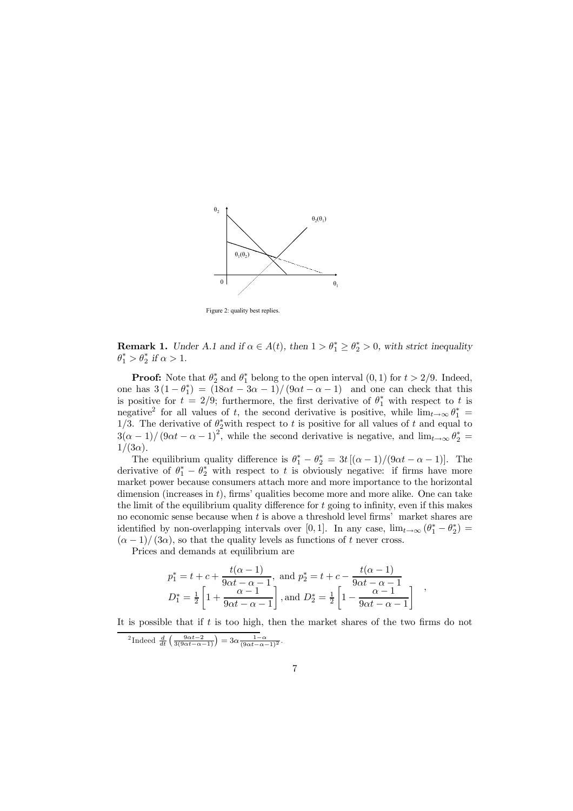

Figure 2: quality best replies

**Remark 1.** Under A.1 and if  $\alpha \in A(t)$ , then  $1 > \theta_1^* \geq \theta_2^* > 0$ , with strict inequality  $\theta_1^* > \theta_2^*$  if  $\alpha > 1$ .

**Proof:** Note that  $\theta_2^*$  and  $\theta_1^*$  belong to the open interval  $(0, 1)$  for  $t > 2/9$ . Indeed, one has  $3(1-\theta_1^*) = (18\alpha t - 3\alpha - 1)/(9\alpha t - \alpha - 1)$  and one can check that this is positive for  $t = 2/9$ ; furthermore, the first derivative of  $\theta_1^*$  with respect to t is negative<sup>2</sup> for all values of t, the second derivative is positive, while  $\lim_{t\to\infty} \theta_1^* =$ 1/3. The derivative of  $\theta_2^*$  with respect to t is positive for all values of t and equal to  $3(\alpha - 1)/(9\alpha t - \alpha - 1)^2$ , while the second derivative is negative, and  $\lim_{t\to\infty} \theta_2^* =$  $1/(3\alpha)$ .

The equilibrium quality difference is  $\theta_1^* - \theta_2^* = 3t[(\alpha - 1)/(9\alpha t - \alpha - 1)].$  The derivative of  $\theta_1^* - \theta_2^*$  with respect to t is obviously negative: if firms have more market power because consumers attach more and more importance to the horizontal dimension (increases in  $t$ ), firms' qualities become more and more alike. One can take the limit of the equilibrium quality difference for  $t$  going to infinity, even if this makes no economic sense because when  $t$  is above a threshold level firms' market shares are identified by non-overlapping intervals over [0, 1]. In any case,  $\lim_{t\to\infty} (\theta_1^* - \theta_2^*) =$  $(\alpha - 1)/(3\alpha)$ , so that the quality levels as functions of t never cross.

Prices and demands at equilibrium are

$$
p_1^* = t + c + \frac{t(\alpha - 1)}{9\alpha t - \alpha - 1}, \text{ and } p_2^* = t + c - \frac{t(\alpha - 1)}{9\alpha t - \alpha - 1}
$$
  

$$
D_1^* = \frac{1}{2} \left[ 1 + \frac{\alpha - 1}{9\alpha t - \alpha - 1} \right], \text{and } D_2^* = \frac{1}{2} \left[ 1 - \frac{\alpha - 1}{9\alpha t - \alpha - 1} \right]
$$

It is possible that if  $t$  is too high, then the market shares of the two firms do not

<sup>2</sup>Indeed  $\frac{d}{dt} \left( \frac{9\alpha t - 2}{3(9\alpha t - \alpha - 1)} \right) = 3\alpha \frac{1 - \alpha}{(9\alpha t - \alpha - 1)^2}.$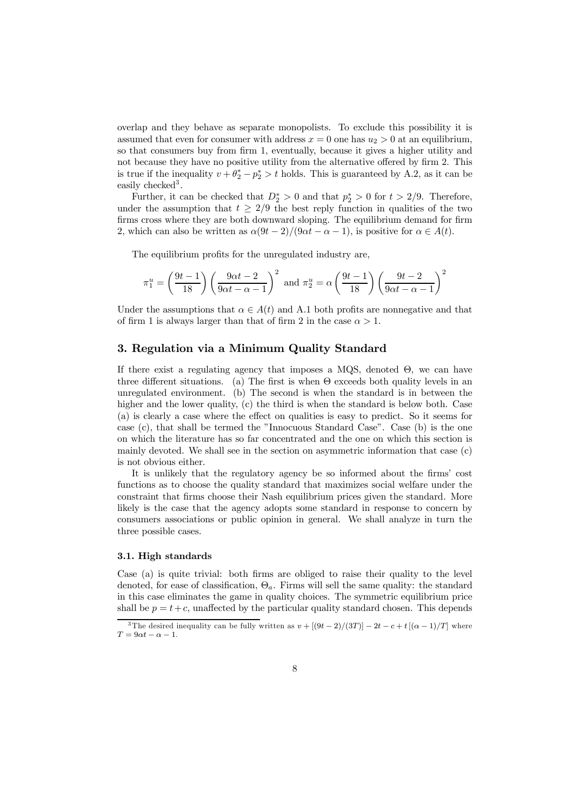overlap and they behave as separate monopolists. To exclude this possibility it is assumed that even for consumer with address  $x = 0$  one has  $u_2 > 0$  at an equilibrium, so that consumers buy from firm 1, eventually, because it gives a higher utility and not because they have no positive utility from the alternative offered by firm 2. This is true if the inequality  $v + \theta_2^* - p_2^* > t$  holds. This is guaranteed by A.2, as it can be easily checked<sup>3</sup>.

Further, it can be checked that  $D_2^* > 0$  and that  $p_2^* > 0$  for  $t > 2/9$ . Therefore, under the assumption that  $t \geq 2/9$  the best reply function in qualities of the two firms cross where they are both downward sloping. The equilibrium demand for firm 2, which can also be written as  $\alpha(9t-2)/(9\alpha t - \alpha - 1)$ , is positive for  $\alpha \in A(t)$ .

The equilibrium profits for the unregulated industry are,

$$
\pi_1^u = \left(\frac{9t-1}{18}\right) \left(\frac{9\alpha t - 2}{9\alpha t - \alpha - 1}\right)^2 \text{ and } \pi_2^u = \alpha \left(\frac{9t-1}{18}\right) \left(\frac{9t-2}{9\alpha t - \alpha - 1}\right)^2
$$

Under the assumptions that  $\alpha \in A(t)$  and A.1 both profits are nonnegative and that of firm 1 is always larger than that of firm 2 in the case  $\alpha > 1$ .

# 3. Regulation via a Minimum Quality Standard

If there exist a regulating agency that imposes a  $MQS$ , denoted  $\Theta$ , we can have three different situations. (a) The first is when  $\Theta$  exceeds both quality levels in an unregulated environment. (b) The second is when the standard is in between the higher and the lower quality, (c) the third is when the standard is below both. Case (a) is clearly a case where the effect on qualities is easy to predict. So it seems for case (c), that shall be termed the "Innocuous Standard Case". Case (b) is the one on which the literature has so far concentrated and the one on which this section is mainly devoted. We shall see in the section on asymmetric information that case (c) is not obvious either.

It is unlikely that the regulatory agency be so informed about the firms' cost functions as to choose the quality standard that maximizes social welfare under the constraint that firms choose their Nash equilibrium prices given the standard. More likely is the case that the agency adopts some standard in response to concern by consumers associations or public opinion in general. We shall analyze in turn the three possible cases.

## 3.1. High standards

Case (a) is quite trivial: both firms are obliged to raise their quality to the level denoted, for ease of classification,  $\Theta_a$ . Firms will sell the same quality: the standard in this case eliminates the game in quality choices. The symmetric equilibrium price shall be  $p = t+c$ , unaffected by the particular quality standard chosen. This depends

<sup>&</sup>lt;sup>3</sup>The desired inequality can be fully written as  $v + [(9t-2)/(3T)] - 2t - c + t[(\alpha - 1)/T]$  where  $T = 9 \alpha t - \alpha - 1.$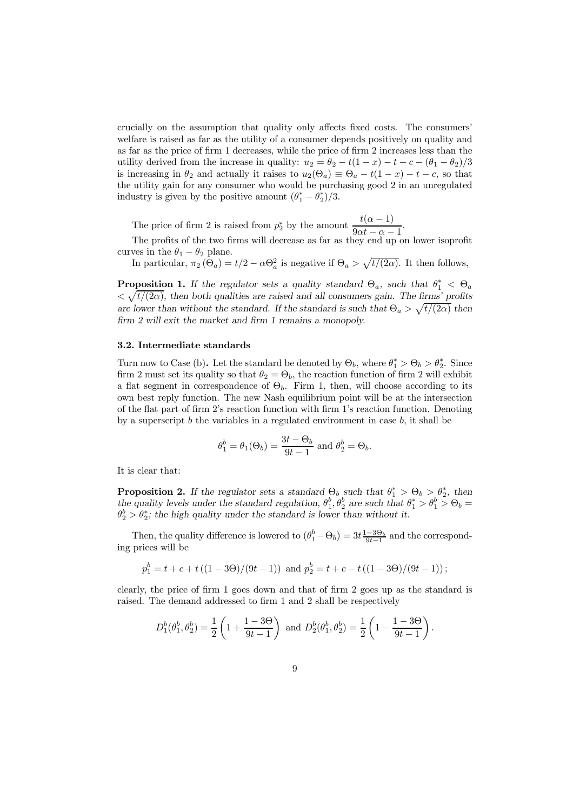crucially on the assumption that quality only affects fixed costs. The consumers' welfare is raised as far as the utility of a consumer depends positively on quality and as far as the price of firm 1 decreases, while the price of firm 2 increases less than the utility derived from the increase in quality:  $u_2 = \theta_2 - t(1 - x) - t - c - (\theta_1 - \theta_2)/3$ is increasing in  $\theta_2$  and actually it raises to  $u_2(\Theta_a) \equiv \Theta_a - t(1 - x) - t - c$ , so that the utility gain for any consumer who would be purchasing good 2 in an unregulated industry is given by the positive amount  $(\theta_1^* - \theta_2^*)/3$ .

The price of firm 2 is raised from  $p_2^*$  by the amount  $\frac{t(\alpha-1)}{0 \alpha^*}$  $\frac{6(\alpha-1)}{9\alpha t - \alpha - 1}.$ 

The profits of the two firms will decrease as far as they end up on lower isoprofit curves in the  $\theta_1 - \theta_2$  plane.

In particular,  $\pi_2(\Theta_a) = t/2 - \alpha \Theta_a^2$  is negative if  $\Theta_a > \sqrt{t/(2\alpha)}$ . It then follows,

**Proposition 1.** If the regulator sets a quality standard  $\Theta_a$ , such that  $\theta_1^* < \Theta_a$  $\langle \sqrt{t/(2\alpha)}\rangle$ , then both qualities are raised and all consumers gain. The firms' profits are lower than without the standard. If the standard is such that  $\Theta_a > \sqrt{t/(2\alpha)}$  then  $firm 2$  will exit the market and firm 1 remains a monopoly.

#### 3.2. Intermediate standards

Turn now to Case (b). Let the standard be denoted by  $\Theta_b$ , where  $\theta_1^* > \Theta_b > \theta_2^*$ . Since firm 2 must set its quality so that  $\theta_2 = \Theta_b$ , the reaction function of firm 2 will exhibit a flat segment in correspondence of  $\Theta_b$ . Firm 1, then, will choose according to its own best reply function. The new Nash equilibrium point will be at the intersection of the flat part of firm 2's reaction function with firm 1's reaction function. Denoting by a superscript  $b$  the variables in a regulated environment in case  $b$ , it shall be

$$
\theta_1^b = \theta_1(\Theta_b) = \frac{3t - \Theta_b}{9t - 1}
$$
 and 
$$
\theta_2^b = \Theta_b.
$$

It is clear that:

**Proposition 2.** If the regulator sets a standard  $\Theta_b$  such that  $\theta_1^* > \Theta_b > \theta_2^*$ , then the quality levels under the standard regulation,  $\theta_1^b, \theta_2^b$  are such that  $\theta_1^* > \theta_1^b > \Theta_b =$  $\theta_2^b > \theta_2^*$ ; the high quality under the standard is lower than without it.

Then, the quality difference is lowered to  $(\theta_1^b - \Theta_b) = 3t \frac{1-3\Theta_b}{9t-1}$  and the corresponding prices will be

 $p_1^b = t + c + t((1 - 3\Theta)/(9t - 1))$  and  $p_2^b = t + c - t((1 - 3\Theta)/(9t - 1));$ 

clearly, the price of firm 1 goes down and that of firm 2 goes up as the standard is raised. The demand addressed to firm 1 and 2 shall be respectively

$$
D_1^b(\theta_1^b, \theta_2^b) = \frac{1}{2} \left( 1 + \frac{1 - 3\Theta}{9t - 1} \right) \text{ and } D_2^b(\theta_1^b, \theta_2^b) = \frac{1}{2} \left( 1 - \frac{1 - 3\Theta}{9t - 1} \right).
$$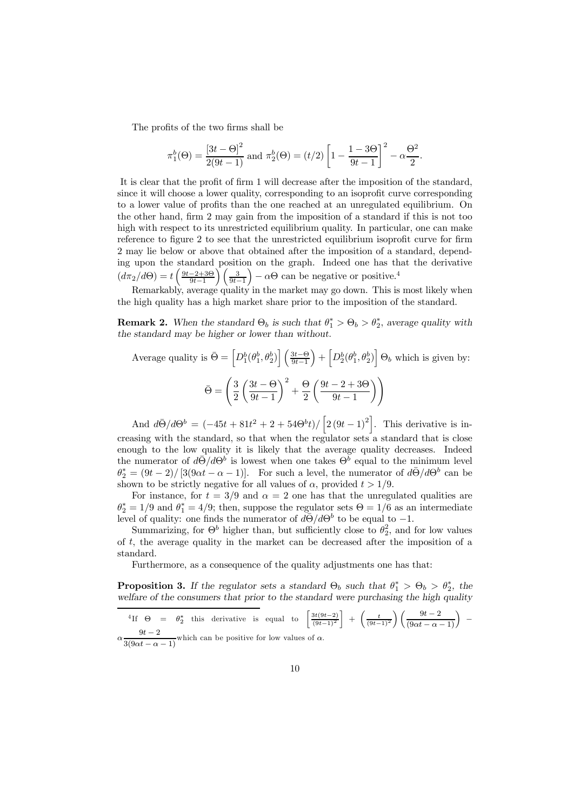The profits of the two firms shall be

$$
\pi_1^b(\Theta) = \frac{[3t - \Theta]^2}{2(9t - 1)} \text{ and } \pi_2^b(\Theta) = (t/2) \left[ 1 - \frac{1 - 3\Theta}{9t - 1} \right]^2 - \alpha \frac{\Theta^2}{2}.
$$

It is clear that the profit of firm 1 will decrease after the imposition of the standard, since it will choose a lower quality, corresponding to an isoprofit curve corresponding to a lower value of profits than the one reached at an unregulated equilibrium. On the other hand, firm 2 may gain from the imposition of a standard if this is not too high with respect to its unrestricted equilibrium quality. In particular, one can make reference to figure 2 to see that the unrestricted equilibrium isoprofit curve for firm 2 may lie below or above that obtained after the imposition of a standard, depending upon the standard position on the graph. Indeed one has that the derivative  $\left(d\pi_2/d\Theta\right) = t\left(\frac{9t-2+3\Theta}{9t-1}\right)$  $\int$   $\frac{3}{2}$  $9t-1$  $(-\alpha \Theta \text{ can be negative or positive.}^4)$ 

Remarkably, average quality in the market may go down. This is most likely when the high quality has a high market share prior to the imposition of the standard.

**Remark 2.** When the standard  $\Theta_b$  is such that  $\theta_1^* > \Theta_b > \theta_2^*$ , average quality with the standard may be higher or lower than without.

Average quality is 
$$
\bar{\Theta} = \left[ D_1^b(\theta_1^b, \theta_2^b) \right] \left( \frac{3t - \Theta}{9t - 1} \right) + \left[ D_2^b(\theta_1^b, \theta_2^b) \right] \Theta_b
$$
 which is given by:  
\n
$$
\bar{\Theta} = \left( \frac{3}{2} \left( \frac{3t - \Theta}{9t - 1} \right)^2 + \frac{\Theta}{2} \left( \frac{9t - 2 + 3\Theta}{9t - 1} \right) \right)
$$

And  $d\bar{\Theta}/d\Theta^b = (-45t + 81t^2 + 2 + 54\Theta^b t)/[2(9t - 1)^2]$ . This derivative is increasing with the standard, so that when the regulator sets a standard that is close enough to the low quality it is likely that the average quality decreases. Indeed the numerator of  $d\bar{\Theta}/d\Theta^b$  is lowest when one takes  $\Theta^b$  equal to the minimum level  $\theta_2^* = (9t - 2)/[3(9\alpha t - \alpha - 1)]$ . For such a level, the numerator of  $d\bar{\Theta}/d\Theta^b$  can be shown to be strictly negative for all values of  $\alpha$ , provided  $t > 1/9$ .

For instance, for  $t = 3/9$  and  $\alpha = 2$  one has that the unregulated qualities are  $\theta_2^* = 1/9$  and  $\theta_1^* = 4/9$ ; then, suppose the regulator sets  $\Theta = 1/6$  as an intermediate level of quality: one finds the numerator of  $d\bar{\Theta}/d\Theta^b$  to be equal to -1.

Summarizing, for  $\Theta^b$  higher than, but sufficiently close to  $\theta_2^2$ , and for low values of t, the average quality in the market can be decreased after the imposition of a standard.

Furthermore, as a consequence of the quality adjustments one has that:

**Proposition 3.** If the regulator sets a standard  $\Theta_b$  such that  $\theta_1^* > \Theta_b > \theta_2^*$ , the welfare of the consumers that prior to the standard were purchasing the high quality

$$
{}^{4}\text{If } \Theta = \theta_2^* \text{ this derivative is equal to } \left[\frac{3t(9t-2)}{(9t-1)^2}\right] + \left(\frac{t}{(9t-1)^2}\right)\left(\frac{9t-2}{(9\alpha t - \alpha - 1)}\right) - \alpha \frac{9t-2}{3(9\alpha t - \alpha - 1)} \text{ which can be positive for low values of } \alpha.
$$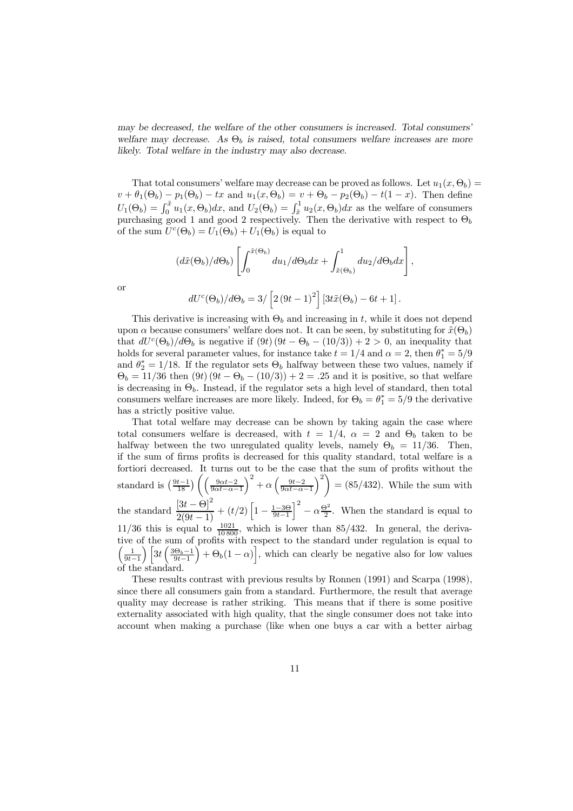may be decreased, the welfare of the other consumers is increased. Total consumers' welfare may decrease. As  $\Theta_b$  is raised, total consumers welfare increases are more likely. Total welfare in the industry may also decrease.

That total consumers' welfare may decrease can be proved as follows. Let  $u_1(x, \Theta_b)$  =  $v + \theta_1(\Theta_b) - p_1(\Theta_b) - tx$  and  $u_1(x, \Theta_b) = v + \Theta_b - p_2(\Theta_b) - t(1-x)$ . Then define  $U_1(\Theta_b) = \int_0^{\tilde{x}} u_1(x, \Theta_b) dx$ , and  $U_2(\Theta_b) = \int_{\tilde{x}}^1 u_2(x, \Theta_b) dx$  as the welfare of consumers purchasing good 1 and good 2 respectively. Then the derivative with respect to  $\Theta_b$ of the sum  $U^c(\Theta_b) = U_1(\Theta_b) + U_1(\Theta_b)$  is equal to

$$
(d\tilde{x}(\Theta_b)/d\Theta_b) \left[ \int_0^{\tilde{x}(\Theta_b)} du_1/d\Theta_b dx + \int_{\tilde{x}(\Theta_b)}^1 du_2/d\Theta_b dx \right],
$$
  

$$
dU^c(\Theta_b)/d\Theta_b = 3/ \left[ 2(9t-1)^2 \right] \left[ 3t\tilde{x}(\Theta_b) - 6t + 1 \right].
$$

or

This derivative is increasing with 
$$
\Theta_b
$$
 and increasing in t, while it does not depend  
upon  $\alpha$  because consumers' welfare does not. It can be seen, by substituting for  $\tilde{x}(\Theta_b)$   
that  $dU^c(\Theta_b)/d\Theta_b$  is negative if  $(9t) (9t - \Theta_b - (10/3)) + 2 > 0$ , an inequality that  
holds for several parameter values, for instance take  $t = 1/4$  and  $\alpha = 2$ , then  $\theta_1^* = 5/9$   
and  $\theta_2^* = 1/18$ . If the regulator sets  $\Theta_b$  halfway between these two values, namely if  
 $\Theta_b = 11/36$  then  $(9t) (9t - \Theta_b - (10/3)) + 2 = .25$  and it is positive, so that welfare  
is decreasing in  $\Theta_b$ . Instead, if the regulator sets a high level of standard, then total  
consumers welfare increases are more likely. Indeed, for  $\Theta_b = \theta_1^* = 5/9$  the derivative  
has a strictly positive value.

That total welfare may decrease can be shown by taking again the case where total consumers welfare is decreased, with  $t = 1/4$ ,  $\alpha = 2$  and  $\Theta_b$  taken to be halfway between the two unregulated quality levels, namely  $\Theta_b = 11/36$ . Then, if the sum of firms profits is decreased for this quality standard, total welfare is a fortiori decreased. It turns out to be the case that the sum of profits without the standard is  $\left(\frac{9t-1}{18}\right) \left( \left( \frac{9\alpha t-2}{9\alpha t-\alpha-1} \right) \right)$  $\int^2 + \alpha \left( \frac{9t-2}{9\alpha t - \alpha - 1} \right)$  $\langle \rangle^2$  $=(85/432)$ . While the sum with the standard  $\frac{[3t - \Theta]^2}{2(9t - 1)} + (t/2) \left[1 - \frac{1-3\Theta}{9t-1}\right]$  $\int_{0}^{2} - \alpha \frac{\Theta^{2}}{2}$ . When the standard is equal to  $11/36$  this is equal to  $\frac{1021}{10800}$ , which is lower than 85/432. In general, the derivative of the sum of profits with respect to the standard under regulation is equal to  $\left( \frac{1}{2} \right)$  $\frac{1}{9t-1}\right)\Big[3t\left(\frac{3\Theta_b-1}{9t-1}\right]$  $\int + \Theta_b(1-\alpha)$ , which can clearly be negative also for low values of the standard.

These results contrast with previous results by Ronnen (1991) and Scarpa (1998), since there all consumers gain from a standard. Furthermore, the result that average quality may decrease is rather striking. This means that if there is some positive externality associated with high quality, that the single consumer does not take into account when making a purchase (like when one buys a car with a better airbag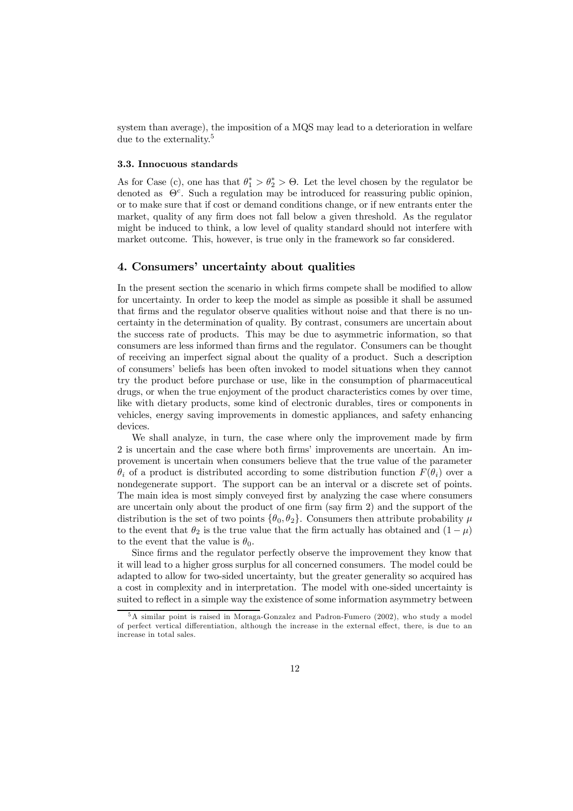system than average), the imposition of a MQS may lead to a deterioration in welfare due to the externality.<sup>5</sup>

## 3.3. Innocuous standards

As for Case (c), one has that  $\theta_1^* > \theta_2^* > \Theta$ . Let the level chosen by the regulator be denoted as  $\Theta^c$ . Such a regulation may be introduced for reassuring public opinion, or to make sure that if cost or demand conditions change, or if new entrants enter the market, quality of any firm does not fall below a given threshold. As the regulator might be induced to think, a low level of quality standard should not interfere with market outcome. This, however, is true only in the framework so far considered.

# 4. Consumers' uncertainty about qualities

In the present section the scenario in which firms compete shall be modified to allow for uncertainty. In order to keep the model as simple as possible it shall be assumed that firms and the regulator observe qualities without noise and that there is no uncertainty in the determination of quality. By contrast, consumers are uncertain about the success rate of products. This may be due to asymmetric information, so that consumers are less informed than firms and the regulator. Consumers can be thought of receiving an imperfect signal about the quality of a product. Such a description of consumers' beliefs has been often invoked to model situations when they cannot try the product before purchase or use, like in the consumption of pharmaceutical drugs, or when the true enjoyment of the product characteristics comes by over time, like with dietary products, some kind of electronic durables, tires or components in vehicles, energy saving improvements in domestic appliances, and safety enhancing devices.

We shall analyze, in turn, the case where only the improvement made by firm 2 is uncertain and the case where both firms' improvements are uncertain. An improvement is uncertain when consumers believe that the true value of the parameter  $\theta_i$  of a product is distributed according to some distribution function  $F(\theta_i)$  over a nondegenerate support. The support can be an interval or a discrete set of points. The main idea is most simply conveyed first by analyzing the case where consumers are uncertain only about the product of one firm (say firm 2) and the support of the distribution is the set of two points  $\{\theta_0, \theta_2\}$ . Consumers then attribute probability  $\mu$ to the event that  $\theta_2$  is the true value that the firm actually has obtained and  $(1 - \mu)$ to the event that the value is  $\theta_0$ .

Since firms and the regulator perfectly observe the improvement they know that it will lead to a higher gross surplus for all concerned consumers. The model could be adapted to allow for two-sided uncertainty, but the greater generality so acquired has a cost in complexity and in interpretation. The model with one-sided uncertainty is suited to reflect in a simple way the existence of some information asymmetry between

<sup>5</sup>A similar point is raised in Moraga-Gonzalez and Padron-Fumero (2002), who study a model of perfect vertical differentiation, although the increase in the external effect, there, is due to an increase in total sales.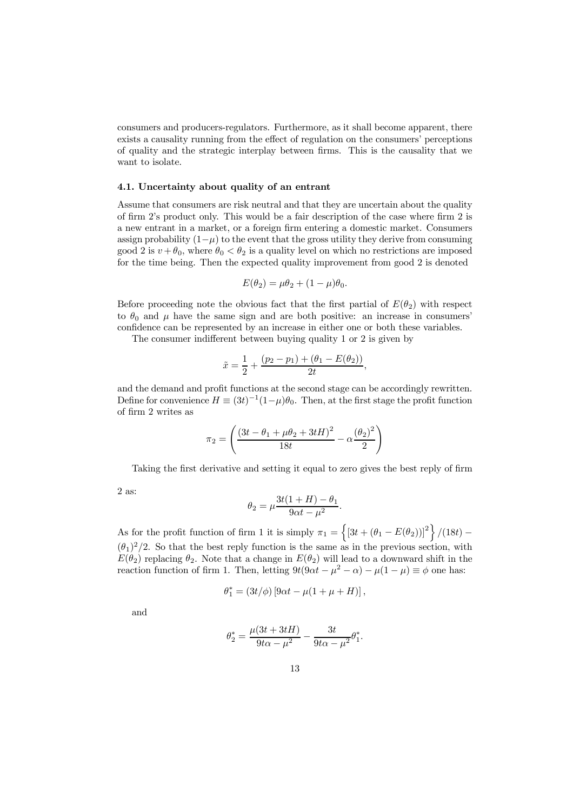consumers and producers-regulators. Furthermore, as it shall become apparent, there exists a causality running from the effect of regulation on the consumers' perceptions of quality and the strategic interplay between …rms. This is the causality that we want to isolate.

## 4.1. Uncertainty about quality of an entrant

Assume that consumers are risk neutral and that they are uncertain about the quality of firm  $2$ 's product only. This would be a fair description of the case where firm  $2$  is a new entrant in a market, or a foreign firm entering a domestic market. Consumers assign probability  $(1-\mu)$  to the event that the gross utility they derive from consuming good 2 is  $v + \theta_0$ , where  $\theta_0 < \theta_2$  is a quality level on which no restrictions are imposed for the time being. Then the expected quality improvement from good 2 is denoted

$$
E(\theta_2) = \mu\theta_2 + (1 - \mu)\theta_0.
$$

Before proceeding note the obvious fact that the first partial of  $E(\theta_2)$  with respect to  $\theta_0$  and  $\mu$  have the same sign and are both positive: an increase in consumers' confidence can be represented by an increase in either one or both these variables.

The consumer indifferent between buying quality 1 or 2 is given by

$$
\tilde{x} = \frac{1}{2} + \frac{(p_2 - p_1) + (\theta_1 - E(\theta_2))}{2t},
$$

and the demand and profit functions at the second stage can be accordingly rewritten. Define for convenience  $H \equiv (3t)^{-1}(1-\mu)\theta_0$ . Then, at the first stage the profit function of firm 2 writes as

$$
\pi_2=\left(\frac{\left(3t-\theta_1+\mu\theta_2+3tH\right)^2}{18t}-\alpha\frac{\left(\theta_2\right)^2}{2}\right)
$$

Taking the first derivative and setting it equal to zero gives the best reply of firm

2 as:

$$
\theta_2 = \mu \frac{3t(1+H) - \theta_1}{9\alpha t - \mu^2}.
$$

As for the profit function of firm 1 it is simply  $\pi_1 = \left\{ \left[3t + (\theta_1 - E(\theta_2))\right]^2 \right\} / (18t)$  $(\theta_1)^2/2$ . So that the best reply function is the same as in the previous section, with  $E(\theta_2)$  replacing  $\theta_2$ . Note that a change in  $E(\theta_2)$  will lead to a downward shift in the reaction function of firm 1. Then, letting  $9t(9\alpha t - \mu^2 - \alpha) - \mu(1 - \mu) \equiv \phi$  one has:

$$
\theta_1^* = (3t/\phi) [9\alpha t - \mu(1 + \mu + H)],
$$

and

$$
\theta_2^* = \frac{\mu(3t + 3tH)}{9t\alpha - \mu^2} - \frac{3t}{9t\alpha - \mu^2} \theta_1^*.
$$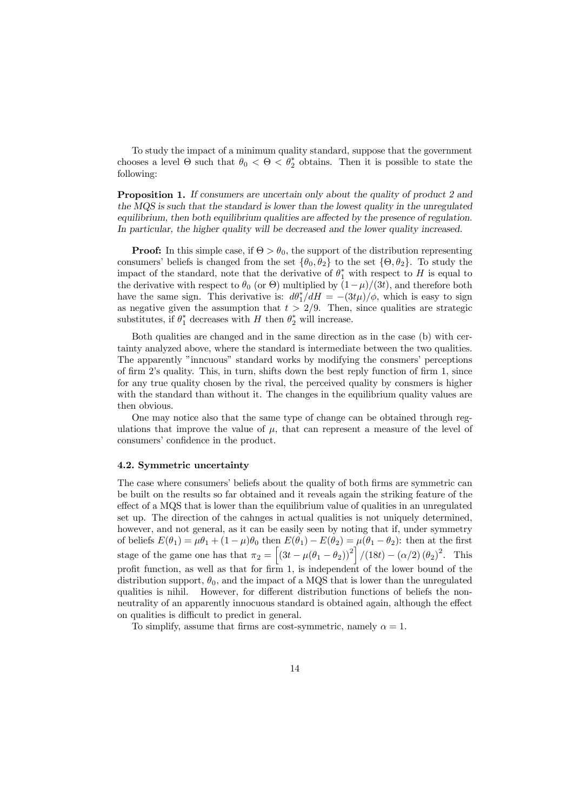To study the impact of a minimum quality standard, suppose that the government chooses a level  $\Theta$  such that  $\theta_0 < \Theta < \theta_2^*$  obtains. Then it is possible to state the following:

Proposition 1. If consumers are uncertain only about the quality of product 2 and the MQS is such that the standard is lower than the lowest quality in the unregulated equilibrium, then both equilibrium qualities are affected by the presence of regulation. In particular, the higher quality will be decreased and the lower quality increased.

**Proof:** In this simple case, if  $\Theta > \theta_0$ , the support of the distribution representing consumers' beliefs is changed from the set  $\{\theta_0, \theta_2\}$  to the set  $\{\Theta, \theta_2\}$ . To study the impact of the standard, note that the derivative of  $\theta_1^*$  with respect to H is equal to the derivative with respect to  $\theta_0$  (or  $\Theta$ ) multiplied by  $(1-\mu)/(3t)$ , and therefore both have the same sign. This derivative is:  $d\theta_1^*/dH = -(3t\mu)/\phi$ , which is easy to sign as negative given the assumption that  $t > 2/9$ . Then, since qualities are strategic substitutes, if  $\theta_1^*$  decreases with H then  $\theta_2^*$  will increase.

Both qualities are changed and in the same direction as in the case (b) with certainty analyzed above, where the standard is intermediate between the two qualities. The apparently "inncuous" standard works by modifying the consmers' perceptions of firm  $2$ 's quality. This, in turn, shifts down the best reply function of firm 1, since for any true quality chosen by the rival, the perceived quality by consmers is higher with the standard than without it. The changes in the equilibrium quality values are then obvious.

One may notice also that the same type of change can be obtained through regulations that improve the value of  $\mu$ , that can represent a measure of the level of consumers' confidence in the product.

## 4.2. Symmetric uncertainty

The case where consumers' beliefs about the quality of both firms are symmetric can be built on the results so far obtained and it reveals again the striking feature of the effect of a MQS that is lower than the equilibrium value of qualities in an unregulated set up. The direction of the cahnges in actual qualities is not uniquely determined, however, and not general, as it can be easily seen by noting that if, under symmetry of beliefs  $E(\theta_1) = \mu \theta_1 + (1 - \mu)\theta_0$  then  $E(\theta_1) - E(\theta_2) = \mu(\theta_1 - \theta_2)$ : then at the first stage of the game one has that  $\pi_2 = \left[ (3t - \mu(\theta_1 - \theta_2))^2 \right] / (18t) - (\alpha/2) (\theta_2)^2$ . This profit function, as well as that for firm 1, is independent of the lower bound of the distribution support,  $\theta_0$ , and the impact of a MQS that is lower than the unregulated qualities is nihil. However, for different distribution functions of beliefs the nonneutrality of an apparently innocuous standard is obtained again, although the effect on qualities is difficult to predict in general.

To simplify, assume that firms are cost-symmetric, namely  $\alpha = 1$ .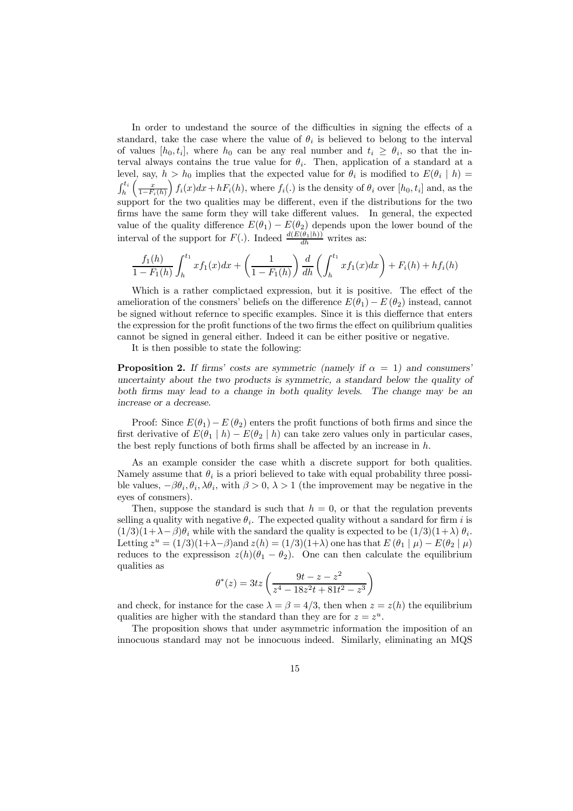In order to undestand the source of the difficulties in signing the effects of a standard, take the case where the value of  $\theta_i$  is believed to belong to the interval of values  $[h_0, t_i]$ , where  $h_0$  can be any real number and  $t_i \geq \theta_i$ , so that the interval always contains the true value for  $\theta_i$ . Then, application of a standard at a level, say,  $h > h_0$  implies that the expected value for  $\theta_i$  is modified to  $E(\theta_i | h)$  =  $\int_h^{t_i} \left( \frac{x}{1-F_i} \right)$  $1-F_i(h)$  $\int f_i(x)dx+hF_i(h)$ , where  $f_i(.)$  is the density of  $\theta_i$  over  $[h_0, t_i]$  and, as the support for the two qualities may be different, even if the distributions for the two firms have the same form they will take different values. In general, the expected value of the quality difference  $E(\theta_1) - E(\theta_2)$  depends upon the lower bound of the interval of the support for  $F(.)$ . Indeed  $\frac{d(E(\theta_1|h))}{dh}$  writes as:

$$
\frac{f_1(h)}{1 - F_1(h)} \int_h^{t_1} x f_1(x) dx + \left(\frac{1}{1 - F_1(h)}\right) \frac{d}{dh} \left(\int_h^{t_1} x f_1(x) dx\right) + F_i(h) + h f_i(h)
$$

Which is a rather complictaed expression, but it is positive. The effect of the amelioration of the consmers' beliefs on the difference  $E(\theta_1) - E(\theta_2)$  instead, cannot be signed without refernce to specific examples. Since it is this dieffernce that enters the expression for the profit functions of the two firms the effect on quilibrium qualities cannot be signed in general either. Indeed it can be either positive or negative.

It is then possible to state the following:

**Proposition 2.** If firms' costs are symmetric (namely if  $\alpha = 1$ ) and consumers' uncertainty about the two products is symmetric, a standard below the quality of both firms may lead to a change in both quality levels. The change may be an increase or a decrease.

Proof: Since  $E(\theta_1) - E(\theta_2)$  enters the profit functions of both firms and since the first derivative of  $E(\theta_1 | h) - E(\theta_2 | h)$  can take zero values only in particular cases, the best reply functions of both firms shall be affected by an increase in  $h$ .

As an example consider the case whith a discrete support for both qualities. Namely assume that  $\theta_i$  is a priori believed to take with equal probability three possible values,  $-\beta\theta_i, \theta_i, \lambda\theta_i$ , with  $\beta > 0$ ,  $\lambda > 1$  (the improvement may be negative in the eyes of consmers).

Then, suppose the standard is such that  $h = 0$ , or that the regulation prevents selling a quality with negative  $\theta_i$ . The expected quality without a sandard for firm i is  $(1/3)(1+\lambda-\beta)\theta_i$  while with the sandard the quality is expected to be  $(1/3)(1+\lambda)\theta_i$ . Letting  $z^u = (1/3)(1+\lambda-\beta)$  and  $z(h) = (1/3)(1+\lambda)$  one has that  $E(\theta_1|\mu) - E(\theta_2|\mu)$ reduces to the expressison  $z(h)(\theta_1 - \theta_2)$ . One can then calculate the equilibrium qualities as

$$
\theta^*(z) = 3tz \left( \frac{9t - z - z^2}{z^4 - 18z^2t + 81t^2 - z^3} \right)
$$

and check, for instance for the case  $\lambda = \beta = 4/3$ , then when  $z = z(h)$  the equilibrium qualities are higher with the standard than they are for  $z = z^u$ .

The proposition shows that under asymmetric information the imposition of an innocuous standard may not be innocuous indeed. Similarly, eliminating an MQS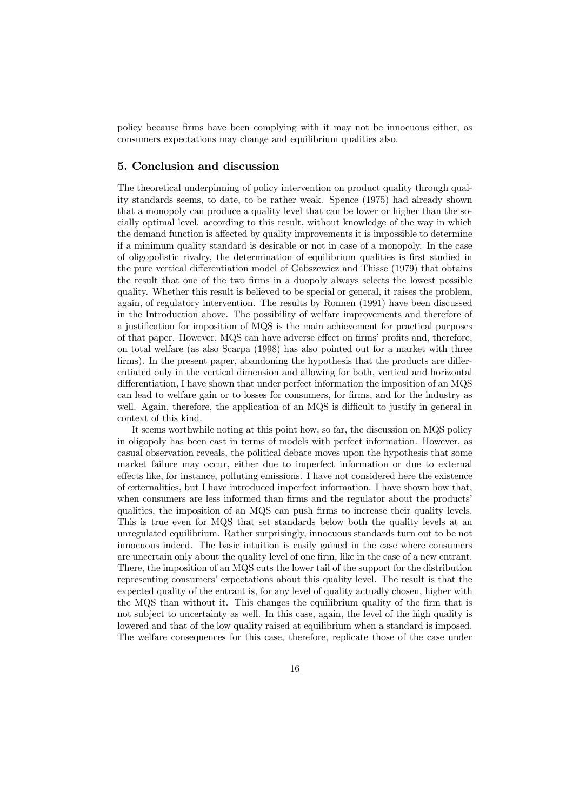policy because firms have been complying with it may not be innocuous either, as consumers expectations may change and equilibrium qualities also.

# 5. Conclusion and discussion

The theoretical underpinning of policy intervention on product quality through quality standards seems, to date, to be rather weak. Spence (1975) had already shown that a monopoly can produce a quality level that can be lower or higher than the socially optimal level. according to this result, without knowledge of the way in which the demand function is a¤ected by quality improvements it is impossible to determine if a minimum quality standard is desirable or not in case of a monopoly. In the case of oligopolistic rivalry, the determination of equilibrium qualities is first studied in the pure vertical differentiation model of Gabszewicz and Thisse (1979) that obtains the result that one of the two firms in a duopoly always selects the lowest possible quality. Whether this result is believed to be special or general, it raises the problem, again, of regulatory intervention. The results by Ronnen (1991) have been discussed in the Introduction above. The possibility of welfare improvements and therefore of a justification for imposition of MQS is the main achievement for practical purposes of that paper. However, MQS can have adverse effect on firms' profits and, therefore, on total welfare (as also Scarpa (1998) has also pointed out for a market with three firms). In the present paper, abandoning the hypothesis that the products are differentiated only in the vertical dimension and allowing for both, vertical and horizontal differentiation, I have shown that under perfect information the imposition of an MQS can lead to welfare gain or to losses for consumers, for firms, and for the industry as well. Again, therefore, the application of an MQS is difficult to justify in general in context of this kind.

It seems worthwhile noting at this point how, so far, the discussion on MQS policy in oligopoly has been cast in terms of models with perfect information. However, as casual observation reveals, the political debate moves upon the hypothesis that some market failure may occur, either due to imperfect information or due to external effects like, for instance, polluting emissions. I have not considered here the existence of externalities, but I have introduced imperfect information. I have shown how that, when consumers are less informed than firms and the regulator about the products' qualities, the imposition of an MQS can push firms to increase their quality levels. This is true even for MQS that set standards below both the quality levels at an unregulated equilibrium. Rather surprisingly, innocuous standards turn out to be not innocuous indeed. The basic intuition is easily gained in the case where consumers are uncertain only about the quality level of one firm, like in the case of a new entrant. There, the imposition of an MQS cuts the lower tail of the support for the distribution representing consumers' expectations about this quality level. The result is that the expected quality of the entrant is, for any level of quality actually chosen, higher with the MQS than without it. This changes the equilibrium quality of the firm that is not subject to uncertainty as well. In this case, again, the level of the high quality is lowered and that of the low quality raised at equilibrium when a standard is imposed. The welfare consequences for this case, therefore, replicate those of the case under